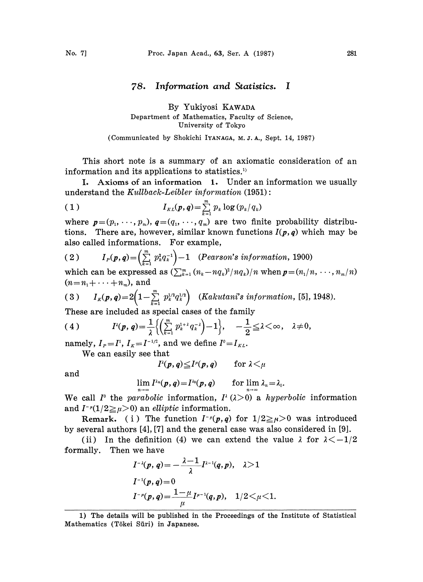## 78. Information and Statistics. <sup>I</sup>

## By Yukiyosi KAWADA Department of Mathematics, Faculty of Science, University of Tokyo

(Communicated by Shokichi IYANAGA, M. J. A., Sept. 14, 1987)

This short note is a summary of an axiomatic consideration of an information and its applications to statistics.<sup>1)</sup>

I. Axioms of an information 1. Under an information we usually understand the  $Kullback-Leibler information (1951):$ 

$$
(1) \t I_{KL}(p,q) = \sum_{k=1}^m p_k \log (p_k/q_k)
$$

where  $p=(p_1,\ldots,p_m)$ ,  $q=(q_1,\ldots,q_m)$  are two finite probability distributions. There are, however, similar known functions  $I(p, q)$  which may be also called informations. For example,

(2) 
$$
I_P(p,q) = \left(\sum_{k=1}^m p_k^2 q_k^{-1}\right) - 1
$$
 (Pearson's information, 1900)  
which can be expressed as  $(\sum_{k=1}^m (n - nq)^2/mq) / n$  when  $n = (n/n, \ldots, n)$ 

which can be expressed as  $(\sum_{k=1}^m (n_k-nq_k)^2/nq_k)/n$  when  $p=(n_1/n,\ldots,n_m/n)$  $(n = n_1 + \cdots + n_m)$ , and

(3) 
$$
I_K(p,q) = 2\left(1 - \sum_{k=1}^m p_k^{1/2} q_k^{1/2}\right)
$$
 (Kakutani's information, [5], 1948).

These are included as special cases of the family

$$
(4) \tI^{2}(p,q)=\frac{1}{\lambda}\Big\{\Big(\sum_{k=1}^{m}p_{k}^{1+\lambda}q_{k}^{-\lambda}\Big)-1\Big\}, \quad -\frac{1}{2}\leq\lambda<\infty, \quad \lambda\neq 0,
$$

namely,  $I<sub>P</sub>=I<sup>1</sup>, I<sub>K</sub>=I<sup>-1/2</sup>,$  and we define  $I<sup>0</sup>=I<sub>KL</sub>$ .

We can easily see that

$$
I^{\lambda}(p,q) \leq I^{\mu}(p,q) \quad \text{for } \lambda \leq \mu
$$

and

$$
\lim_{n\to\infty} I^{\lambda_n}(p,q) = I^{\lambda_0}(p,q) \qquad \text{for } \lim_{n\to\infty} \lambda_n = \lambda_0.
$$

We call  $I^{\circ}$  the parabolic information,  $I^{\circ}$  ( $\lambda>0$ ) a hyperbolic information and  $I^{-\mu}(1/2 \geq \mu > 0)$  an *elliptic* information.

Remark. (i) The function  $I^{-\mu}(p,q)$  for  $1/2 \ge \mu > 0$  was introduced by several authors [4], [7] and the general case was also considered in [9].

(ii) In the definition (4) we can extend the value  $\lambda$  for  $\lambda < -1/2$ formally. Then we have

$$
I^{-\lambda}(p, q) = -\frac{\lambda - 1}{\lambda} I^{\lambda - 1}(q, p), \quad \lambda > 1
$$
  

$$
I^{-1}(p, q) = 0
$$
  

$$
I^{-\mu}(p, q) = \frac{1 - \mu}{\mu} I^{\mu - 1}(q, p), \quad 1/2 < \mu < 1
$$

<sup>1)</sup> The details will be published in the Proceedings of the Institute of Statistical Mathematics (Tōkei Sūri) in Japanese.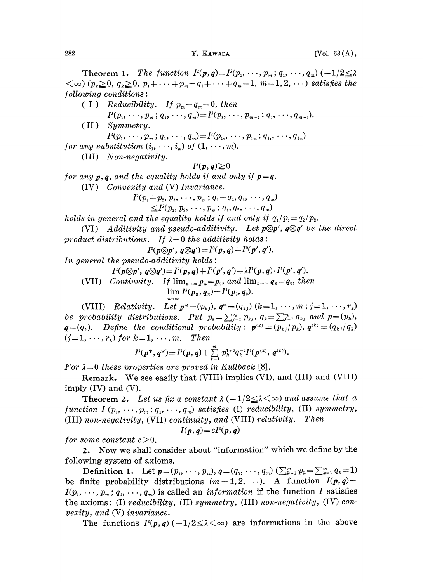Theorem 1. The function  $P(p,q)=P(p_1,\dots,p_m;q_1,\dots,q_m)$   $(-1/2 \leq \lambda)$  $(\cos(\varphi_k \geq 0, q_k \geq 0, p_1 + \cdots + p_m = q_1 + \cdots + q_m = 1, m = 1, 2, \cdots)$  satisfies the  $following conditions:$ ( I ) Reducibility. If  $p_m = q_m = 0$ , then  $I^{2}(p_{1}, \ldots, p_{m}; q_{1}, \ldots, q_{m})=I^{2}(p_{1}, \ldots, p_{m-1}; q_{1}, \ldots, q_{m-1}).$ (II) Symmetry.  $I^{i}(p_{1}, \ldots, p_{m}; q_{1}, \ldots, q_{m})=I^{i}(p_{i_{1}}, \ldots, p_{i_{m}}; q_{i_{1}}, \ldots, q_{i_{m}})$ for any substitution  $(i_1, \ldots, i_m)$  of  $(1, \ldots, m)$ . (III) Non-negativity.  $I^{\lambda}(p,q) \geq 0$ for any  $p, q$ , and the equality holds if and only if  $p = q$ . (IV) Convexity and (V) Invariance.  $P(p_1+p_2, p_3, \ldots, p_m; q_1+q_2, q_3, \ldots, q_m)$  $\leq I^{p}(p_{1}, p_{2}, \cdots, p_{m}; q_{1}, q_{2}, \cdots, q_{m})$ holds in general and the equality holds if and only if  $q_1/p_1=q_2/p_2$ . (VI) Additivity and pseudo-additivity. Let  $p \otimes p'$ ,  $q \otimes q'$  be the direct product distributions. If  $\lambda = 0$  the additivity holds:  $I^{0}(p \otimes p', q \otimes q') = I^{0}(p, q) + I^{0}(p', q').$ In general the pseudo-additivity holds:

 $I^{(\lambda)}(p\otimes p', q\otimes q') = I^{(\lambda)}(p, q) + I^{(\lambda)}(p', q') + \lambda I^{(\lambda)}(p, q) \cdot I^{(\lambda)}(p', q').$ 

(VII) Continuity. If  $\lim_{n\to\infty} p_n=p_0$ , and  $\lim_{n\to\infty} q_n=q_0$ , then  $\lim I^{2}(p_{n}, q_{n}) = I^{2}(p_{0}, q_{0}).$ 

(VIII) Relativity. Let  $p^*=(p_{kj})$ ,  $q^*=(q_{kj})$   $(k=1,\cdots,m; j=1,\cdots,r_k)$ be probability distributions. Put  $p_k = \sum_{j=1}^{r_k} p_{kj}$ ,  $q_k = \sum_{j=1}^{r_k} q_{kj}$  and  $p = (p_k)$ ,  $q=(q_k)$ . Define the conditional probability:  $p^{(k)}=(p_{kj}/p_k)$ ,  $q^{(k)}=(q_{kj}/q_k)$  $(j=1,\cdots,r_k)$  for  $k=1,\cdots,m$ . Then

$$
I^{2}(p^{*}, q^{*}) = I^{2}(p, q) + \sum_{k=1}^{m} p_{k}^{1+\lambda} q_{k}^{-\lambda} I^{2}(p^{(k)}, q^{(k)}).
$$

For  $\lambda=0$  these properties are proved in Kullback [8].

Remark. We see easily that (VIII) implies (VI), and (III) and (VIII) imply (IV) and (V).

**Theorem 2.** Let us fix a constant  $\lambda$  ( $-1/2 \leq \lambda \leq \infty$ ) and assume that a function I  $(p_1, \ldots, p_m; q_1, \ldots, q_m)$  satisfies (I) reducibility, (II) symmetry, (III) non-negativity, (VII) continuity, and (VIII) relativity. Then

$$
I(p,q) = cI^2(p,q)
$$

for some constant  $c>0$ .

2. Now we shall consider about "information" which we define by the

following system of axioms.<br>Definition 1. Let  $p=(p_1, \dots, p_m)$ ,  $q=(q_1, \dots, q_m)$   $(\sum_{k=1}^m p_k = \sum_{k=1}^m q_k = 1)$ following system of axioms.<br>
Definition 1. Let  $p=(p_1, \dots, p_m)$ ,  $q=(q_1, \dots, q_m)$  ( $\sum_{k=1}^{m} p_k = \sum_{k=1}^{m} q_k = 1$ )<br>
be finite probability distributions  $(m=1, 2, \dots)$ . A function  $I(p, q) =$  $I(p_1, \dots, p_m; q_1, \dots, q_m)$  is called an *information* if the function I satisfies the axioms: (I) reducibility, (II) symmetry, (III) non-negativity, (IV) convexity, and (V) invariance.

The functions  $I^{k}(p,q)(-1/2 \leq \lambda \leq \infty)$  are informations in the above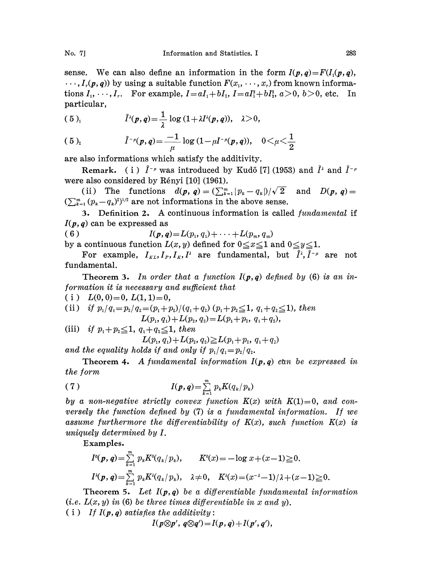sense. We can also define an information in the form  $I(p,q)=F(I_1(p,q),$  $\ldots, I_r(p,q)$  by using a suitable function  $F(x_1, \ldots, x_r)$  from known informations  $I_1, \dots, I_r$ . For example,  $I = aI_1 + bI_2$ ,  $I = aI_1^2 + bI_2^2$ ,  $a > 0$ ,  $b > 0$ , etc. In particular,

(5)<sub>1</sub> 
$$
\tilde{I}^{\lambda}(p,q)=\frac{1}{\lambda}\log(1+\lambda I^{\lambda}(p,q)), \quad \lambda>0,
$$

(5)<sub>2</sub> 
$$
\tilde{I}^{-\mu}(\mathbf{p}, \mathbf{q}) = \frac{-1}{\mu} \log (1 - \mu I^{-\mu}(\mathbf{p}, \mathbf{q})), \quad 0 < \mu < \frac{1}{2}
$$

are also informations which satisfy the additivity.

**Remark.** (i)  $I^{-\mu}$  was introduced by Kudō [7] (1953) and  $I^{\lambda}$  and  $I^{-\mu}$ were also considered by Rényi  $[10]$  (1961).

(ii) The functions  $d(p, q) = (\sum_{k=1}^m |p_k - q_k|)/\sqrt{2}$  and  $D(p, q) =$  $(\sum_{k=1}^m (p_k-q_k)^2)^{1/2}$  are not informations in the above sense.

3. Definition 2. A continuous information is called fundamental if  $I(p,q)$  can be expressed as

( 6 )  $I(p,q)=L(p_1, q_1)+\cdots+L(p_m, q_m)$ 

by a continuous function  $L(x, y)$  defined for  $0 \le x \le 1$  and  $0 \le y \le 1$ .

For example,  $I_{KL}, I_P, I_K, I^2$  are fundamental, but  $\tilde{I}^{\lambda}, \tilde{I}^{-\mu}$  are not fundamental.

**Theorem 3.** In order that a function  $I(p,q)$  defined by (6) is an information it is necessary and sufficient that

( i )  $L(0, 0)=0, L(1, 1)=0,$ 

(ii) if 
$$
p_1/q_1 = p_2/q_2 = (p_1+p_2)/(q_1+q_2)
$$
  $(p_1+p_2 \le 1, q_1+q_2 \le 1)$ , then  

$$
L(p_1, q_1) + L(p_2, q_2) = L(p_1+p_2, q_1+q_2),
$$

(iii) if  $p_1 + p_2 \leq 1$ ,  $q_1 + q_2 \leq 1$ , then

 $L(p_1, q_1) + L(p_2, q_2) \ge L(p_1 + p_2, q_1 + q_2)$ 

and the equality holds if and only if  $p_1/q_1=p_2/q_2$ .

**Theorem 4.** A fundamental information  $I(p,q)$  can be expressed in the form

$$
(7) \tI(p,q) = \sum_{k=1}^m p_k K(q_k/p_k)
$$

by a non-negative strictly convex function  $K(x)$  with  $K(1)=0$ , and conversely the function defined by (7) is a fundamental information. If we assume furthermore the differentiability of  $K(x)$ , such function  $K(x)$  is uniquely determined by I.

Examples.

$$
I^0(\mathbf{p},\mathbf{q}) = \sum_{k=1}^m p_k K^0(q_k/p_k), \qquad K^0(x) = -\log x + (x-1) \ge 0.
$$
  

$$
I^{\lambda}(\mathbf{p},\mathbf{q}) = \sum_{k=1}^m p_k K^{\lambda}(q_k/p_k), \quad \lambda \ne 0, \quad K^{\lambda}(x) = (x^{-\lambda} - 1)/\lambda + (x-1) \ge 0.
$$

**Theorem 5.** Let  $I(p,q)$  be a differentiable fundamental information (i.e.  $L(x, y)$  in (6) be three times differentiable in x and y).

( i ) If  $I(p, q)$  satisfies the additivity:

 $I(p\otimes p', q\otimes q') = I(p, q) + I(p', q')$